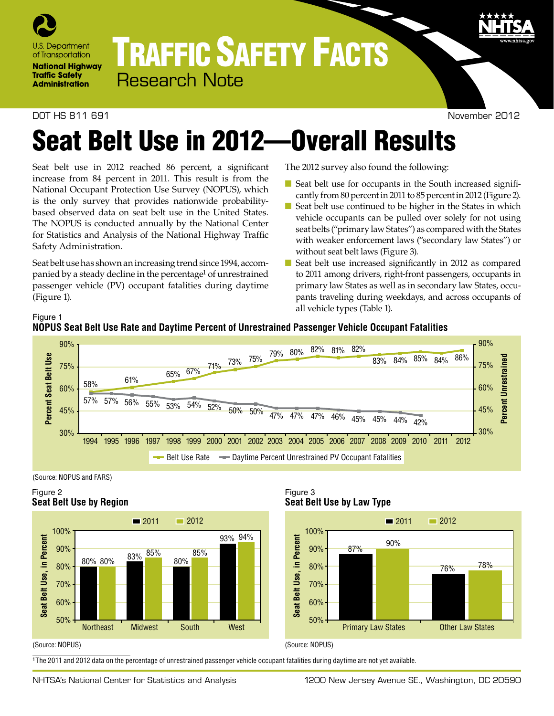

# TRAFFIC SAFETY FACTS Research Note

#### DOT HS 811 691 November 2012

# Seat Belt Use in 2012—Overall Results

Seat belt use in 2012 reached 86 percent, a significant increase from 84 percent in 2011. This result is from the National Occupant Protection Use Survey (NOPUS), which is the only survey that provides nationwide probabilitybased observed data on seat belt use in the United States. The NOPUS is conducted annually by the National Center for Statistics and Analysis of the National Highway Traffic Safety Administration.

Seat belt use has shown an increasing trend since 1994, accompanied by a steady decline in the percentage<sup>1</sup> of unrestrained passenger vehicle (PV) occupant fatalities during daytime (Figure 1).

The 2012 survey also found the following:

- Seat belt use for occupants in the South increased significantly from 80 percent in 2011 to 85 percent in 2012 (Figure 2).
- Seat belt use continued to be higher in the States in which vehicle occupants can be pulled over solely for not using seat belts ("primary law States") as compared with the States with weaker enforcement laws ("secondary law States") or without seat belt laws (Figure 3).
- Seat belt use increased significantly in 2012 as compared to 2011 among drivers, right-front passengers, occupants in primary law States as well as in secondary law States, occupants traveling during weekdays, and across occupants of all vehicle types (Table 1).







### Figure 2 **Seat Belt Use by Region**



Figure 3 **Seat Belt Use by Law Type**



#### (Source: NOPUS)

1The 2011 and 2012 data on the percentage of unrestrained passenger vehicle occupant fatalities during daytime are not yet available.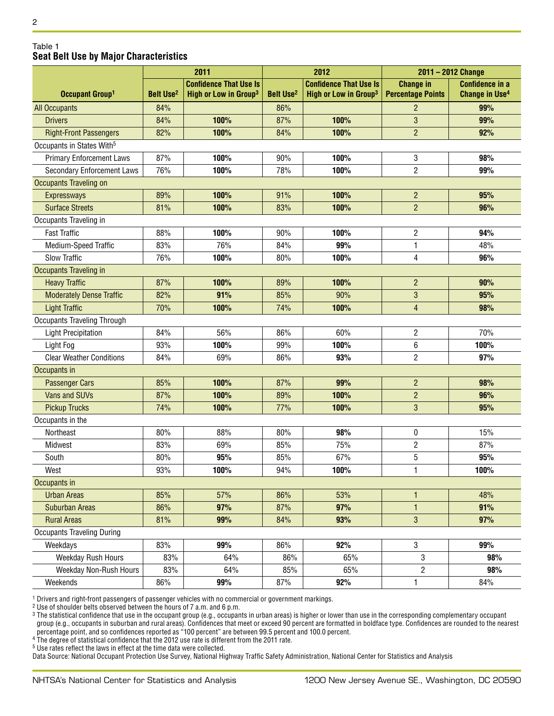#### Table 1 **Seat Belt Use by Major Characteristics**

|                                       |                             | 2011                              | 2012                        |                                   | 2011 - 2012 Change       |                                  |  |
|---------------------------------------|-----------------------------|-----------------------------------|-----------------------------|-----------------------------------|--------------------------|----------------------------------|--|
|                                       |                             | <b>Confidence That Use Is</b>     |                             | <b>Confidence That Use Is</b>     | <b>Change in</b>         | <b>Confidence in a</b>           |  |
| Occupant Group <sup>1</sup>           | <b>Belt Use<sup>2</sup></b> | High or Low in Group <sup>3</sup> | <b>Belt Use<sup>2</sup></b> | High or Low in Group <sup>3</sup> | <b>Percentage Points</b> | <b>Change in Use<sup>4</sup></b> |  |
| <b>All Occupants</b>                  | 84%                         |                                   | 86%                         |                                   | $\overline{2}$           | 99%                              |  |
| <b>Drivers</b>                        | 84%                         | 100%                              | 87%                         | 100%                              | $\mathbf{3}$             | 99%                              |  |
| <b>Right-Front Passengers</b>         | 82%                         | 100%                              | 84%                         | 100%                              | $\overline{2}$           | 92%                              |  |
| Occupants in States With <sup>5</sup> |                             |                                   |                             |                                   |                          |                                  |  |
| <b>Primary Enforcement Laws</b>       | 87%                         | 100%                              | 90%                         | 100%                              | 3                        | 98%                              |  |
| Secondary Enforcement Laws            | 76%                         | 100%                              | 78%                         | 100%                              | $\overline{2}$           | 99%                              |  |
| <b>Occupants Traveling on</b>         |                             |                                   |                             |                                   |                          |                                  |  |
| <b>Expressways</b>                    | 89%                         | 100%                              | 91%                         | 100%                              | $\overline{c}$           | 95%                              |  |
| <b>Surface Streets</b>                | 81%                         | 100%                              | 83%                         | 100%                              | $\overline{2}$           | 96%                              |  |
| Occupants Traveling in                |                             |                                   |                             |                                   |                          |                                  |  |
| <b>Fast Traffic</b>                   | 88%                         | 100%                              | 90%                         | 100%                              | $\overline{c}$           | 94%                              |  |
| Medium-Speed Traffic                  | 83%                         | 76%                               | 84%                         | 99%                               | 1                        | 48%                              |  |
| <b>Slow Traffic</b>                   | 76%                         | 100%                              | 80%                         | 100%                              | 4                        | 96%                              |  |
| <b>Occupants Traveling in</b>         |                             |                                   |                             |                                   |                          |                                  |  |
| <b>Heavy Traffic</b>                  | 87%                         | 100%                              | 89%                         | 100%                              | $\overline{c}$           | 90%                              |  |
| <b>Moderately Dense Traffic</b>       | 82%                         | 91%                               | 85%                         | 90%                               | 3                        | 95%                              |  |
| <b>Light Traffic</b>                  | 70%                         | 100%                              | 74%                         | 100%                              | $\overline{4}$           | 98%                              |  |
| <b>Occupants Traveling Through</b>    |                             |                                   |                             |                                   |                          |                                  |  |
| <b>Light Precipitation</b>            | 84%                         | 56%                               | 86%                         | 60%                               | 2                        | 70%                              |  |
| Light Fog                             | 93%                         | 100%                              | 99%                         | 100%                              | 6                        | 100%                             |  |
| <b>Clear Weather Conditions</b>       | 84%                         | 69%                               | 86%                         | 93%                               | $\overline{2}$           | 97%                              |  |
| Occupants in                          |                             |                                   |                             |                                   |                          |                                  |  |
| <b>Passenger Cars</b>                 | 85%                         | 100%                              | 87%                         | 99%                               | $\overline{c}$           | 98%                              |  |
| Vans and SUVs                         | 87%                         | 100%                              | 89%                         | 100%                              | $\overline{c}$           | 96%                              |  |
| <b>Pickup Trucks</b>                  | 74%                         | 100%                              | 77%                         | 100%                              | 3                        | 95%                              |  |
| Occupants in the                      |                             |                                   |                             |                                   |                          |                                  |  |
| Northeast                             | 80%                         | 88%                               | 80%                         | 98%                               | 0                        | 15%                              |  |
| <b>Midwest</b>                        | 83%                         | 69%                               | 85%                         | 75%                               | $\sqrt{2}$               | 87%                              |  |
| South                                 | 80%                         | 95%                               | 85%                         | 67%                               | 5                        | 95%                              |  |
| West                                  | 93%                         | 100%                              | 94%                         | 100%                              | 1                        | 100%                             |  |
| Occupants in                          |                             |                                   |                             |                                   |                          |                                  |  |
| <b>Urban Areas</b>                    | 85%                         | 57%                               | 86%                         | 53%                               | 1                        | 48%                              |  |
| <b>Suburban Areas</b>                 | 86%                         | 97%                               | 87%                         | 97%                               | $\mathbf{1}$             | 91%                              |  |
| <b>Rural Areas</b>                    | 81%                         | 99%                               | 84%                         | 93%                               | $\mathbf{3}$             | 97%                              |  |
| <b>Occupants Traveling During</b>     |                             |                                   |                             |                                   |                          |                                  |  |
| Weekdays                              | 83%                         | 99%                               | 86%                         | 92%                               | 3                        | 99%                              |  |
| Weekday Rush Hours                    | 83%                         | 64%                               | 86%                         | 65%                               | 3                        | 98%                              |  |
| Weekday Non-Rush Hours                | 83%                         | 64%                               | 85%                         | 65%                               | $\overline{2}$           | 98%                              |  |
| Weekends                              | 86%                         | 99%                               | 87%                         | 92%                               | 1                        | 84%                              |  |

 $^{\rm 1}$  Drivers and right-front passengers of passenger vehicles with no commercial or government markings.

2 Use of shoulder belts observed between the hours of 7 a.m. and 6 p.m.

<sup>3</sup> The statistical confidence that use in the occupant group (e.g., occupants in urban areas) is higher or lower than use in the corresponding complementary occupant group (e.g., occupants in suburban and rural areas). Confidences that meet or exceed 90 percent are formatted in boldface type. Confidences are rounded to the nearest percentage point, and so confidences reported as "100 percent" are between 99.5 percent and 100.0 percent.

<sup>4</sup> The degree of statistical confidence that the 2012 use rate is different from the 2011 rate.

5 Use rates reflect the laws in effect at the time data were collected.

Data Source: National Occupant Protection Use Survey, National Highway Traffic Safety Administration, National Center for Statistics and Analysis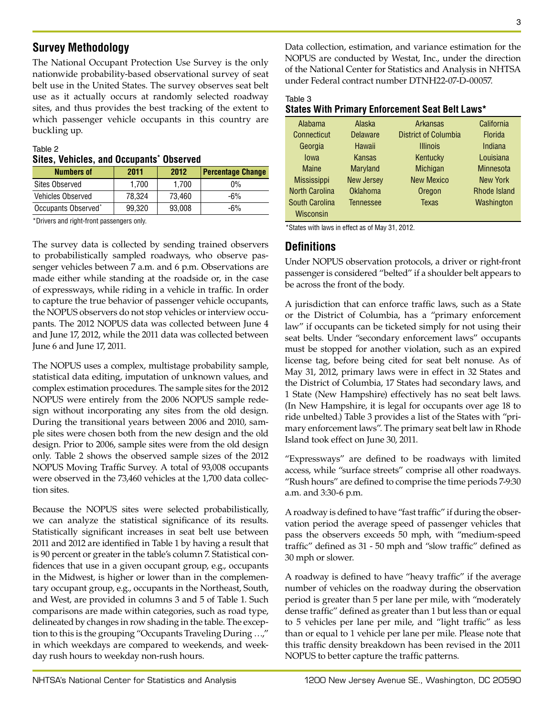# **Survey Methodology**

The National Occupant Protection Use Survey is the only nationwide probability-based observational survey of seat belt use in the United States. The survey observes seat belt use as it actually occurs at randomly selected roadway sites, and thus provides the best tracking of the extent to which passenger vehicle occupants in this country are buckling up.

#### Table 2 **Sites, Vehicles, and Occupants\* Observed**

| <b>Numbers of</b>               | 2011   | 2012   | <b>Percentage Change</b> |
|---------------------------------|--------|--------|--------------------------|
| <b>Sites Observed</b>           | 1.700  | 1.700  | $0\%$                    |
| <b>Vehicles Observed</b>        | 78.324 | 73.460 | $-6%$                    |
| Occupants Observed <sup>*</sup> | 99.320 | 93,008 | -6%                      |

\*Drivers and right-front passengers only.

The survey data is collected by sending trained observers to probabilistically sampled roadways, who observe passenger vehicles between 7 a.m. and 6 p.m. Observations are made either while standing at the roadside or, in the case of expressways, while riding in a vehicle in traffic. In order to capture the true behavior of passenger vehicle occupants, the NOPUS observers do not stop vehicles or interview occupants. The 2012 NOPUS data was collected between June 4 and June 17, 2012, while the 2011 data was collected between June 6 and June 17, 2011.

The NOPUS uses a complex, multistage probability sample, statistical data editing, imputation of unknown values, and complex estimation procedures. The sample sites for the 2012 NOPUS were entirely from the 2006 NOPUS sample redesign without incorporating any sites from the old design. During the transitional years between 2006 and 2010, sample sites were chosen both from the new design and the old design. Prior to 2006, sample sites were from the old design only. Table 2 shows the observed sample sizes of the 2012 NOPUS Moving Traffic Survey. A total of 93,008 occupants were observed in the 73,460 vehicles at the 1,700 data collection sites.

Because the NOPUS sites were selected probabilistically, we can analyze the statistical significance of its results. Statistically significant increases in seat belt use between 2011 and 2012 are identified in Table 1 by having a result that is 90 percent or greater in the table's column 7. Statistical confidences that use in a given occupant group, e.g., occupants in the Midwest, is higher or lower than in the complementary occupant group, e.g., occupants in the Northeast, South, and West, are provided in columns 3 and 5 of Table 1. Such comparisons are made within categories, such as road type, delineated by changes in row shading in the table. The exception to this is the grouping "Occupants Traveling During …," in which weekdays are compared to weekends, and weekday rush hours to weekday non-rush hours.

Data collection, estimation, and variance estimation for the NOPUS are conducted by Westat, Inc., under the direction of the National Center for Statistics and Analysis in NHTSA under Federal contract number DTNH22-07-D-00057.

|  | States With Primary Enforcement Seat Belt Laws* |  |
|--|-------------------------------------------------|--|
|  |                                                 |  |

| Alabama               | Alaska            | <b>Arkansas</b>             | California          |
|-----------------------|-------------------|-----------------------------|---------------------|
| Connecticut           | <b>Delaware</b>   | <b>District of Columbia</b> | <b>Florida</b>      |
| Georgia               | Hawaii            | <b>Illinois</b>             | Indiana             |
| lowa                  | Kansas            | Kentucky                    | Louisiana           |
| <b>Maine</b>          | <b>Maryland</b>   | <b>Michigan</b>             | <b>Minnesota</b>    |
| <b>Mississippi</b>    | <b>New Jersey</b> | <b>New Mexico</b>           | New York            |
| <b>North Carolina</b> | <b>Oklahoma</b>   | Oregon                      | <b>Rhode Island</b> |
| South Carolina        | <b>Tennessee</b>  | <b>Texas</b>                | Washington          |
| Wisconsin             |                   |                             |                     |

\*States with laws in effect as of May 31, 2012.

## **Definitions**

Under NOPUS observation protocols, a driver or right-front passenger is considered "belted" if a shoulder belt appears to be across the front of the body.

A jurisdiction that can enforce traffic laws, such as a State or the District of Columbia, has a "primary enforcement law" if occupants can be ticketed simply for not using their seat belts. Under "secondary enforcement laws" occupants must be stopped for another violation, such as an expired license tag, before being cited for seat belt nonuse. As of May 31, 2012, primary laws were in effect in 32 States and the District of Columbia, 17 States had secondary laws, and 1 State (New Hampshire) effectively has no seat belt laws. (In New Hampshire, it is legal for occupants over age 18 to ride unbelted.) Table 3 provides a list of the States with "primary enforcement laws". The primary seat belt law in Rhode Island took effect on June 30, 2011.

"Expressways" are defined to be roadways with limited access, while "surface streets" comprise all other roadways. "Rush hours" are defined to comprise the time periods 7-9:30 a.m. and 3:30-6 p.m.

A roadway is defined to have "fast traffic" if during the observation period the average speed of passenger vehicles that pass the observers exceeds 50 mph, with "medium-speed traffic" defined as 31 - 50 mph and "slow traffic" defined as 30 mph or slower.

A roadway is defined to have "heavy traffic" if the average number of vehicles on the roadway during the observation period is greater than 5 per lane per mile, with "moderately dense traffic" defined as greater than 1 but less than or equal to 5 vehicles per lane per mile, and "light traffic" as less than or equal to 1 vehicle per lane per mile. Please note that this traffic density breakdown has been revised in the 2011 NOPUS to better capture the traffic patterns.